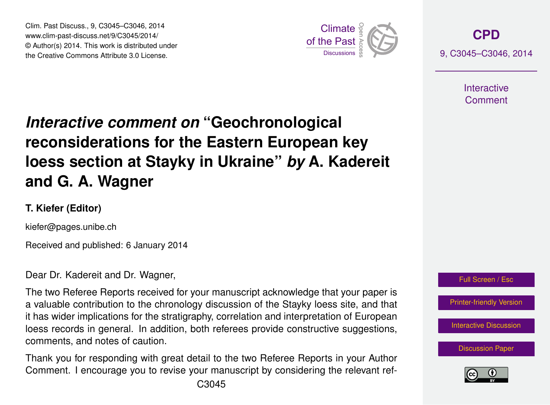Clim. Past Discuss., 9, C3045–C3046, 2014 www.clim-past-discuss.net/9/C3045/2014/  $\circledcirc$  Author(s) 2014. This work is distributed under the Creative Commons Attribute 3.0 License.  $\mathcal{L}$ 



**[CPD](http://www.clim-past-discuss.net)** 9, C3045–C3046, 2014

> **Interactive** Comment

## *Interactive comment on* "Geochronological hne for th where  $\ddot{ }$ at Stavky  $\epsilon$ **reconsiderations for the Eastern European key** h<sub>od</sub>m: and loess section at Stayky in Ukraine" *by* A. Kadereit )<br>C **and G. A. Wagner**

## Model Development **T. Kiefer (Editor)**

kiefer@pages.unibe.ch

Received and published: 6 January 2014

Dear Dr. Kadereit and Dr. Wagner,

a valuable contribution to the chronology discussion of the Stayky loess site, and that or<br>Open  $\begin{bmatrix} 1 \\ 2 \\ -1 \end{bmatrix}$ The two Referee Reports received for your manuscript acknowledge that your paper is it has wider implications for the stratigraphy, correlation and interpretation of European loess records in general. In addition, both referees provide constructive suggestions, comments, and notes of caution.

Thank you for responding with great detail to the two Referee Reports in your Author e<sup>.</sup> -<br>Ul Comment. I encourage you to revise your manuscript by considering the relevant ref-





Open Access